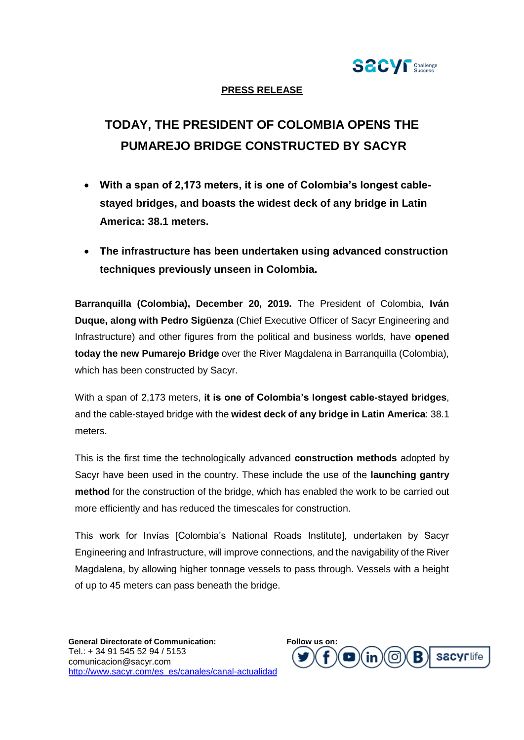

## **PRESS RELEASE**

# **TODAY, THE PRESIDENT OF COLOMBIA OPENS THE PUMAREJO BRIDGE CONSTRUCTED BY SACYR**

- **With a span of 2,173 meters, it is one of Colombia's longest cablestayed bridges, and boasts the widest deck of any bridge in Latin America: 38.1 meters.**
- **The infrastructure has been undertaken using advanced construction techniques previously unseen in Colombia.**

**Barranquilla (Colombia), December 20, 2019.** The President of Colombia, **Iván Duque, along with Pedro Sigüenza** (Chief Executive Officer of Sacyr Engineering and Infrastructure) and other figures from the political and business worlds, have **opened today the new Pumarejo Bridge** over the River Magdalena in Barranquilla (Colombia), which has been constructed by Sacyr.

With a span of 2,173 meters, **it is one of Colombia's longest cable-stayed bridges**, and the cable-stayed bridge with the **widest deck of any bridge in Latin America**: 38.1 meters.

This is the first time the technologically advanced **construction methods** adopted by Sacyr have been used in the country. These include the use of the **launching gantry method** for the construction of the bridge, which has enabled the work to be carried out more efficiently and has reduced the timescales for construction.

This work for Invías [Colombia's National Roads Institute], undertaken by Sacyr Engineering and Infrastructure, will improve connections, and the navigability of the River Magdalena, by allowing higher tonnage vessels to pass through. Vessels with a height of up to 45 meters can pass beneath the bridge.

**General Directorate of Communication: F[ollow](https://eur03.safelinks.protection.outlook.com/?url=https://twitter.com/SomosSacyr&data=02|01||1a293922fd994aee3e9f08d73b4a7e93|672bafce0ccd48678420e8bb91862ae0|0|0|637043063440723912&sdata=2XeY8+ph0rYmR8yjzO5FqRkvre/8CPaxXQoZU0s+vFI=&reserved=0) [us on:](https://eur03.safelinks.protection.outlook.com/?url=https://www.facebook.com/SomosSacyr&data=02|01||1a293922fd994aee3e9f08d73b4a7e93|672bafce0ccd48678420e8bb91862ae0|0|0|637043063440723912&sdata=OoWHckHwbxbPd5ooF4S/bqEh7gzBYbv/E+zXPnRS0lI=&reserved=0)** Tel.: + 34 91 545 52 94 / 5153 comunicacion@sacyr.com [http://www.sacyr.com/es\\_es/canales/canal-actualidad](http://www.sacyr.com/es_es/canales/canal-actualidad)